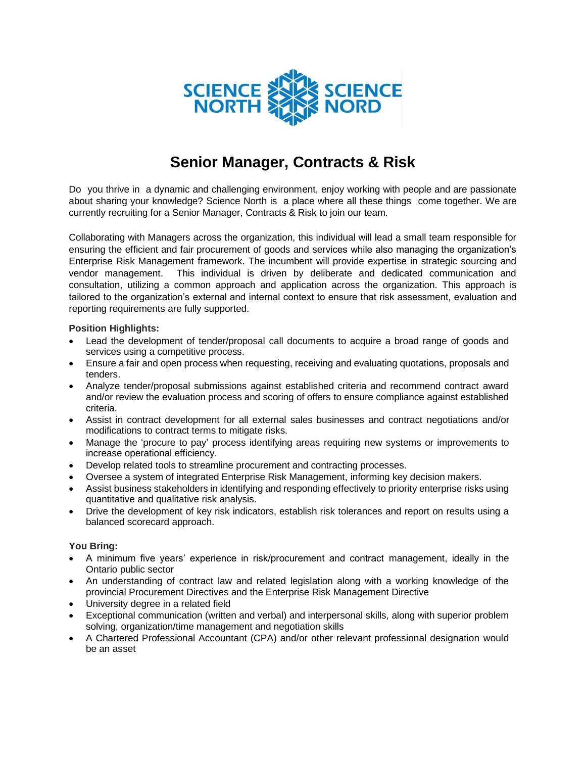

## **Senior Manager, Contracts & Risk**

Do you thrive in a dynamic and challenging environment, enjoy working with people and are passionate about sharing your knowledge? Science North is a place where all these things come together. We are currently recruiting for a Senior Manager, Contracts & Risk to join our team.

Collaborating with Managers across the organization, this individual will lead a small team responsible for ensuring the efficient and fair procurement of goods and services while also managing the organization's Enterprise Risk Management framework. The incumbent will provide expertise in strategic sourcing and vendor management. This individual is driven by deliberate and dedicated communication and consultation, utilizing a common approach and application across the organization. This approach is tailored to the organization's external and internal context to ensure that risk assessment, evaluation and reporting requirements are fully supported.

## **Position Highlights:**

- Lead the development of tender/proposal call documents to acquire a broad range of goods and services using a competitive process.
- Ensure a fair and open process when requesting, receiving and evaluating quotations, proposals and tenders.
- Analyze tender/proposal submissions against established criteria and recommend contract award and/or review the evaluation process and scoring of offers to ensure compliance against established criteria.
- Assist in contract development for all external sales businesses and contract negotiations and/or modifications to contract terms to mitigate risks.
- Manage the 'procure to pay' process identifying areas requiring new systems or improvements to increase operational efficiency.
- Develop related tools to streamline procurement and contracting processes.
- Oversee a system of integrated Enterprise Risk Management, informing key decision makers.
- Assist business stakeholders in identifying and responding effectively to priority enterprise risks using quantitative and qualitative risk analysis.
- Drive the development of key risk indicators, establish risk tolerances and report on results using a balanced scorecard approach.

## **You Bring:**

- A minimum five years' experience in risk/procurement and contract management, ideally in the Ontario public sector
- An understanding of contract law and related legislation along with a working knowledge of the provincial Procurement Directives and the Enterprise Risk Management Directive
- University degree in a related field
- Exceptional communication (written and verbal) and interpersonal skills, along with superior problem solving, organization/time management and negotiation skills
- A Chartered Professional Accountant (CPA) and/or other relevant professional designation would be an asset